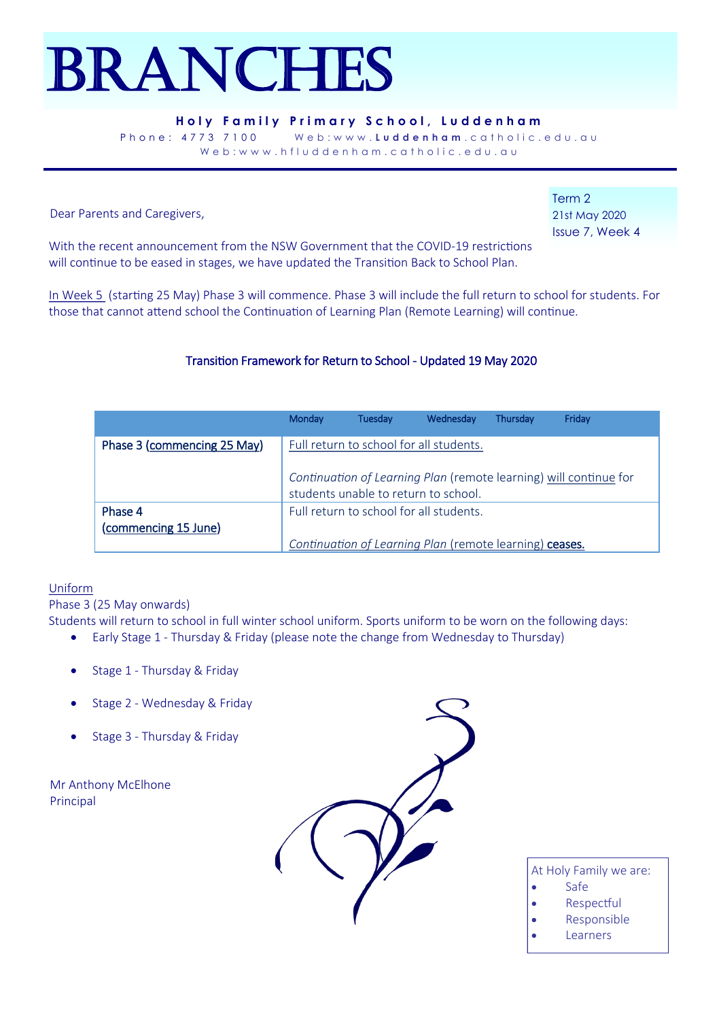# Branches

#### **Holy Family Primary School, Luddenham**

Phone: 4773 7100 Web:www.**Luddenham**.catholic.edu.au Web:www.hfluddenham.catholic.edu.au

Dear Parents and Caregivers,

Term 2 21st May 2020 Issue 7, Week 4

With the recent announcement from the NSW Government that the COVID-19 restrictions will continue to be eased in stages, we have updated the Transition Back to School Plan.

In Week 5 (starting 25 May) Phase 3 will commence. Phase 3 will include the full return to school for students. For those that cannot attend school the Continuation of Learning Plan (Remote Learning) will continue.

## Transition Framework for Return to School - Updated 19 May 2020

|                             | Monday                                  | Tuesday | Wednesday                                               | Thursdav | Friday                                                            |
|-----------------------------|-----------------------------------------|---------|---------------------------------------------------------|----------|-------------------------------------------------------------------|
| Phase 3 (commencing 25 May) |                                         |         | Full return to school for all students.                 |          |                                                                   |
|                             |                                         |         | students unable to return to school.                    |          | Continuation of Learning Plan (remote learning) will continue for |
| Phase 4                     | Full return to school for all students. |         |                                                         |          |                                                                   |
| (commencing 15 June)        |                                         |         |                                                         |          |                                                                   |
|                             |                                         |         | Continuation of Learning Plan (remote learning) ceases. |          |                                                                   |

#### Uniform

Phase 3 (25 May onwards)

Students will return to school in full winter school uniform. Sports uniform to be worn on the following days:

- Early Stage 1 Thursday & Friday (please note the change from Wednesday to Thursday)
- Stage 1 Thursday & Friday
- Stage 2 Wednesday & Friday
- Stage 3 Thursday & Friday

Mr Anthony McElhone Principal



- At Holy Family we are:
- Safe
- **Respectful**
- Responsible
- **Learners**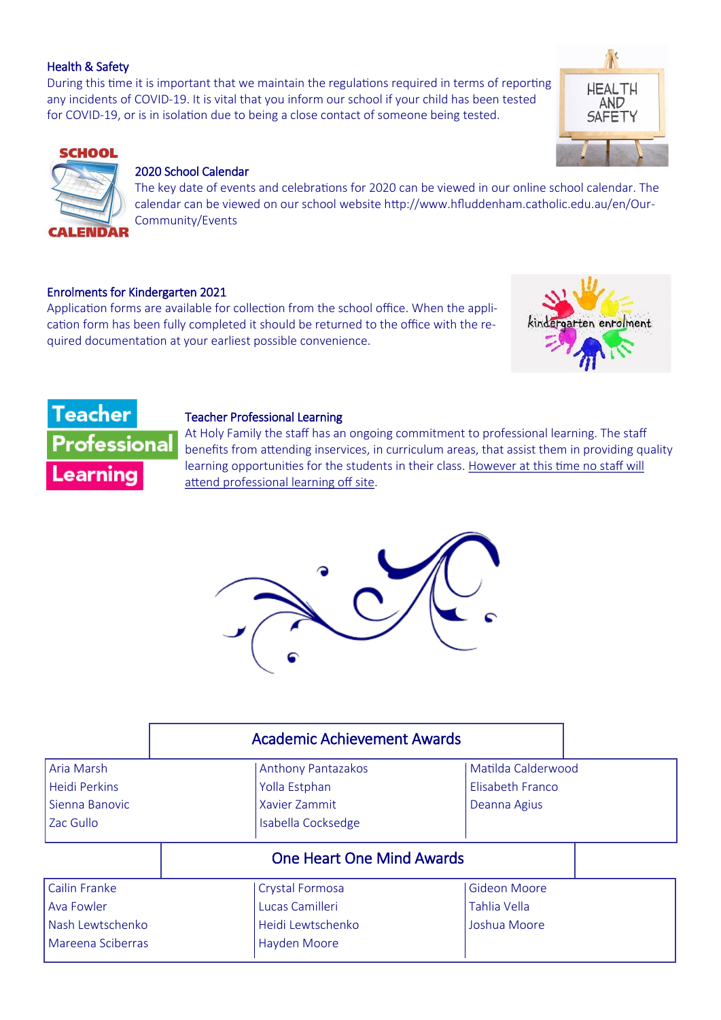#### Health & Safety

During this time it is important that we maintain the regulations required in terms of reporting any incidents of COVID-19. It is vital that you inform our school if your child has been tested for COVID-19, or is in isolation due to being a close contact of someone being tested.



## **SCHOOL**

**ENDAR** 

#### 2020 School Calendar

The key date of events and celebrations for 2020 can be viewed in our online school calendar. The calendar can be viewed on our school website http://www.hfluddenham.catholic.edu.au/en/Our-Community/Events

#### Enrolments for Kindergarten 2021

Application forms are available for collection from the school office. When the application form has been fully completed it should be returned to the office with the required documentation at your earliest possible convenience.





#### Teacher Professional Learning

At Holy Family the staff has an ongoing commitment to professional learning. The staff benefits from attending inservices, in curriculum areas, that assist them in providing quality learning opportunities for the students in their class. However at this time no staff will attend professional learning off site.



| <b>Academic Achievement Awards</b>                                   |                                                                                      |                                                     |  |  |  |
|----------------------------------------------------------------------|--------------------------------------------------------------------------------------|-----------------------------------------------------|--|--|--|
| Aria Marsh<br><b>Heidi Perkins</b>                                   | Matilda Calderwood<br><b>Anthony Pantazakos</b><br>Elisabeth Franco<br>Yolla Estphan |                                                     |  |  |  |
| Sienna Banovic<br>Zac Gullo                                          | Xavier Zammit<br>Isabella Cocksedge                                                  | Deanna Agius                                        |  |  |  |
|                                                                      | <b>One Heart One Mind Awards</b>                                                     |                                                     |  |  |  |
| Cailin Franke<br>Ava Fowler<br>Nash Lewtschenko<br>Mareena Sciberras | Crystal Formosa<br>Lucas Camilleri<br>Heidi Lewtschenko<br>Hayden Moore              | <b>Gideon Moore</b><br>Tahlia Vella<br>Joshua Moore |  |  |  |